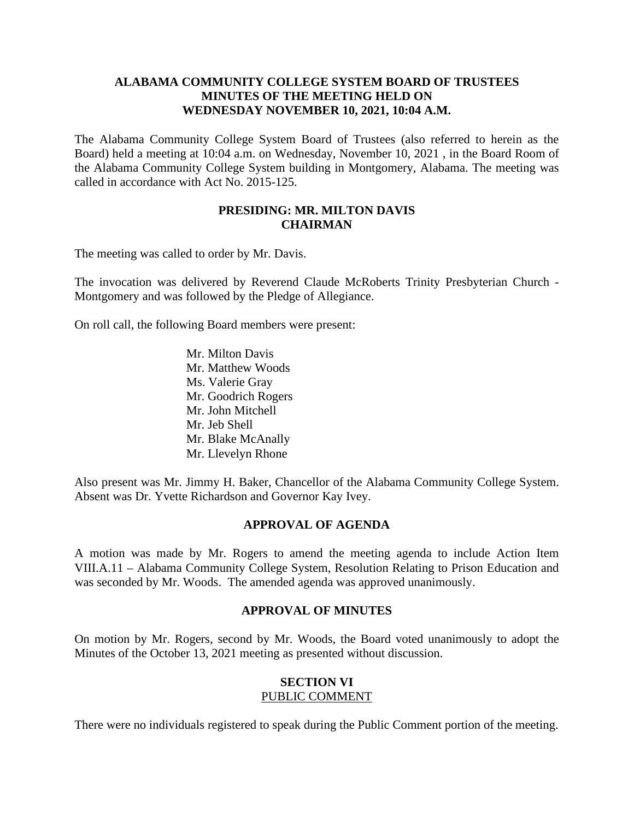### **ALABAMA COMMUNITY COLLEGE SYSTEM BOARD OF TRUSTEES MINUTES OF THE MEETING HELD ON WEDNESDAY NOVEMBER 10, 2021, 10:04 A.M.**

The Alabama Community College System Board of Trustees (also referred to herein as the Board) held a meeting at 10:04 a.m. on Wednesday, November 10, 2021 , in the Board Room of the Alabama Community College System building in Montgomery, Alabama. The meeting was called in accordance with Act No. 2015-125.

## **PRESIDING: MR. MILTON DAVIS CHAIRMAN**

The meeting was called to order by Mr. Davis.

The invocation was delivered by Reverend Claude McRoberts Trinity Presbyterian Church - Montgomery and was followed by the Pledge of Allegiance.

On roll call, the following Board members were present:

Mr. Milton Davis Mr. Matthew Woods Ms. Valerie Gray Mr. Goodrich Rogers Mr. John Mitchell Mr. Jeb Shell Mr. Blake McAnally Mr. Llevelyn Rhone

Also present was Mr. Jimmy H. Baker, Chancellor of the Alabama Community College System. Absent was Dr. Yvette Richardson and Governor Kay Ivey.

### **APPROVAL OF AGENDA**

A motion was made by Mr. Rogers to amend the meeting agenda to include Action Item VIII.A.11 – Alabama Community College System, Resolution Relating to Prison Education and was seconded by Mr. Woods. The amended agenda was approved unanimously.

### **APPROVAL OF MINUTES**

On motion by Mr. Rogers, second by Mr. Woods, the Board voted unanimously to adopt the Minutes of the October 13, 2021 meeting as presented without discussion.

### **SECTION VI** PUBLIC COMMENT

There were no individuals registered to speak during the Public Comment portion of the meeting.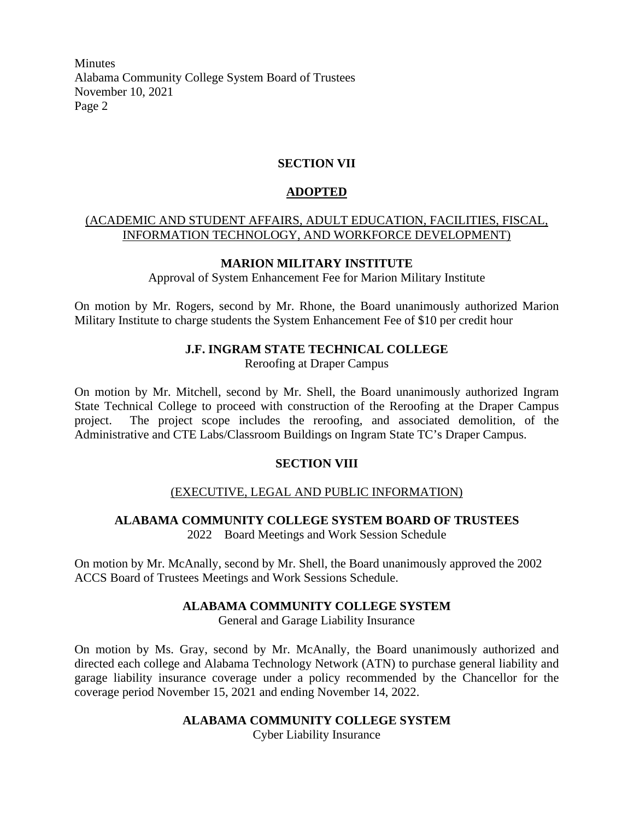#### **SECTION VII**

### **ADOPTED**

### (ACADEMIC AND STUDENT AFFAIRS, ADULT EDUCATION, FACILITIES, FISCAL, INFORMATION TECHNOLOGY, AND WORKFORCE DEVELOPMENT)

### **MARION MILITARY INSTITUTE**

Approval of System Enhancement Fee for Marion Military Institute

On motion by Mr. Rogers, second by Mr. Rhone, the Board unanimously authorized Marion Military Institute to charge students the System Enhancement Fee of \$10 per credit hour

### **J.F. INGRAM STATE TECHNICAL COLLEGE**

Reroofing at Draper Campus

On motion by Mr. Mitchell, second by Mr. Shell, the Board unanimously authorized Ingram State Technical College to proceed with construction of the Reroofing at the Draper Campus project. The project scope includes the reroofing, and associated demolition, of the Administrative and CTE Labs/Classroom Buildings on Ingram State TC's Draper Campus.

### **SECTION VIII**

### (EXECUTIVE, LEGAL AND PUBLIC INFORMATION)

**ALABAMA COMMUNITY COLLEGE SYSTEM BOARD OF TRUSTEES**

2022 Board Meetings and Work Session Schedule

On motion by Mr. McAnally, second by Mr. Shell, the Board unanimously approved the 2002 ACCS Board of Trustees Meetings and Work Sessions Schedule.

### **ALABAMA COMMUNITY COLLEGE SYSTEM**

General and Garage Liability Insurance

On motion by Ms. Gray, second by Mr. McAnally, the Board unanimously authorized and directed each college and Alabama Technology Network (ATN) to purchase general liability and garage liability insurance coverage under a policy recommended by the Chancellor for the coverage period November 15, 2021 and ending November 14, 2022.

### **ALABAMA COMMUNITY COLLEGE SYSTEM**

Cyber Liability Insurance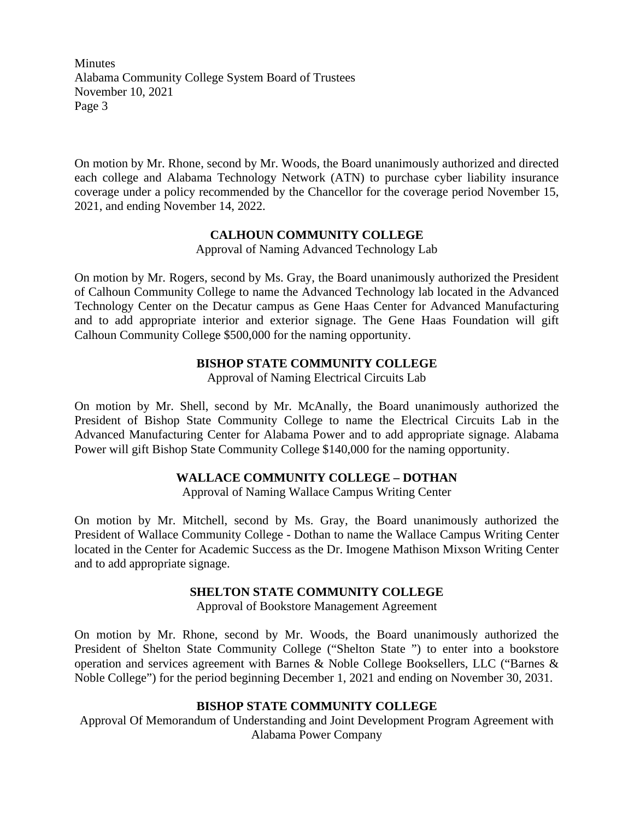On motion by Mr. Rhone, second by Mr. Woods, the Board unanimously authorized and directed each college and Alabama Technology Network (ATN) to purchase cyber liability insurance coverage under a policy recommended by the Chancellor for the coverage period November 15, 2021, and ending November 14, 2022.

#### **CALHOUN COMMUNITY COLLEGE**

Approval of Naming Advanced Technology Lab

On motion by Mr. Rogers, second by Ms. Gray, the Board unanimously authorized the President of Calhoun Community College to name the Advanced Technology lab located in the Advanced Technology Center on the Decatur campus as Gene Haas Center for Advanced Manufacturing and to add appropriate interior and exterior signage. The Gene Haas Foundation will gift Calhoun Community College \$500,000 for the naming opportunity.

### **BISHOP STATE COMMUNITY COLLEGE**

Approval of Naming Electrical Circuits Lab

On motion by Mr. Shell, second by Mr. McAnally, the Board unanimously authorized the President of Bishop State Community College to name the Electrical Circuits Lab in the Advanced Manufacturing Center for Alabama Power and to add appropriate signage. Alabama Power will gift Bishop State Community College \$140,000 for the naming opportunity.

# **WALLACE COMMUNITY COLLEGE – DOTHAN**

Approval of Naming Wallace Campus Writing Center

On motion by Mr. Mitchell, second by Ms. Gray, the Board unanimously authorized the President of Wallace Community College - Dothan to name the Wallace Campus Writing Center located in the Center for Academic Success as the Dr. Imogene Mathison Mixson Writing Center and to add appropriate signage.

## **SHELTON STATE COMMUNITY COLLEGE**

Approval of Bookstore Management Agreement

On motion by Mr. Rhone, second by Mr. Woods, the Board unanimously authorized the President of Shelton State Community College ("Shelton State ") to enter into a bookstore operation and services agreement with Barnes & Noble College Booksellers, LLC ("Barnes & Noble College") for the period beginning December 1, 2021 and ending on November 30, 2031.

### **BISHOP STATE COMMUNITY COLLEGE**

Approval Of Memorandum of Understanding and Joint Development Program Agreement with Alabama Power Company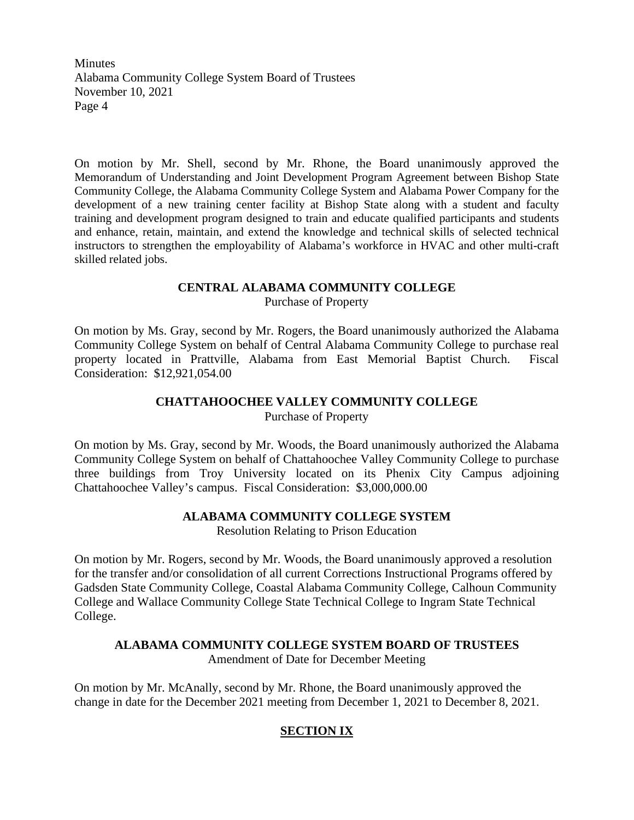On motion by Mr. Shell, second by Mr. Rhone, the Board unanimously approved the Memorandum of Understanding and Joint Development Program Agreement between Bishop State Community College, the Alabama Community College System and Alabama Power Company for the development of a new training center facility at Bishop State along with a student and faculty training and development program designed to train and educate qualified participants and students and enhance, retain, maintain, and extend the knowledge and technical skills of selected technical instructors to strengthen the employability of Alabama's workforce in HVAC and other multi-craft skilled related jobs.

### **CENTRAL ALABAMA COMMUNITY COLLEGE**

Purchase of Property

On motion by Ms. Gray, second by Mr. Rogers, the Board unanimously authorized the Alabama Community College System on behalf of Central Alabama Community College to purchase real property located in Prattville, Alabama from East Memorial Baptist Church. Fiscal Consideration: \$12,921,054.00

## **CHATTAHOOCHEE VALLEY COMMUNITY COLLEGE**

Purchase of Property

On motion by Ms. Gray, second by Mr. Woods, the Board unanimously authorized the Alabama Community College System on behalf of Chattahoochee Valley Community College to purchase three buildings from Troy University located on its Phenix City Campus adjoining Chattahoochee Valley's campus. Fiscal Consideration: \$3,000,000.00

#### **ALABAMA COMMUNITY COLLEGE SYSTEM**

Resolution Relating to Prison Education

On motion by Mr. Rogers, second by Mr. Woods, the Board unanimously approved a resolution for the transfer and/or consolidation of all current Corrections Instructional Programs offered by Gadsden State Community College, Coastal Alabama Community College, Calhoun Community College and Wallace Community College State Technical College to Ingram State Technical College.

### **ALABAMA COMMUNITY COLLEGE SYSTEM BOARD OF TRUSTEES**

Amendment of Date for December Meeting

On motion by Mr. McAnally, second by Mr. Rhone, the Board unanimously approved the change in date for the December 2021 meeting from December 1, 2021 to December 8, 2021.

# **SECTION IX**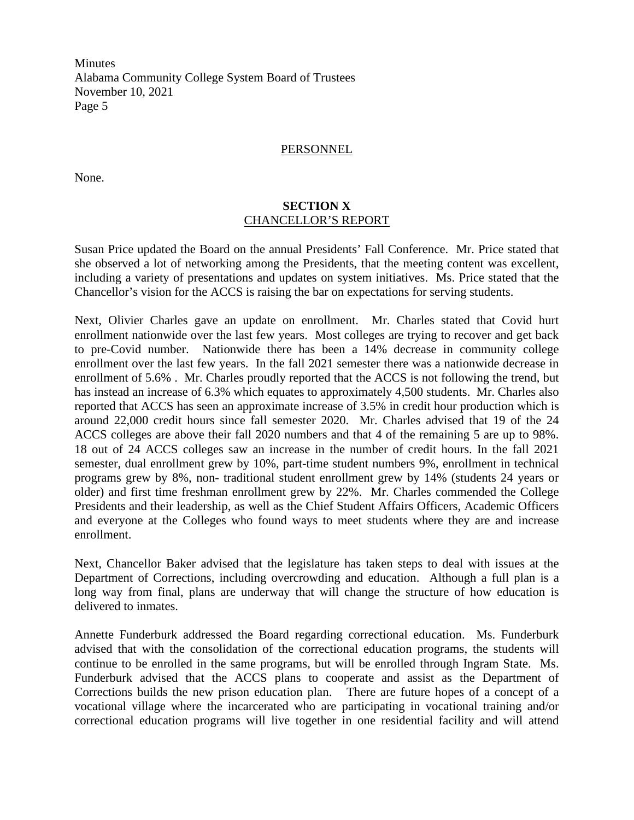#### **PERSONNEL**

None.

#### **SECTION X** CHANCELLOR'S REPORT

Susan Price updated the Board on the annual Presidents' Fall Conference. Mr. Price stated that she observed a lot of networking among the Presidents, that the meeting content was excellent, including a variety of presentations and updates on system initiatives. Ms. Price stated that the Chancellor's vision for the ACCS is raising the bar on expectations for serving students.

Next, Olivier Charles gave an update on enrollment. Mr. Charles stated that Covid hurt enrollment nationwide over the last few years. Most colleges are trying to recover and get back to pre-Covid number. Nationwide there has been a 14% decrease in community college enrollment over the last few years. In the fall 2021 semester there was a nationwide decrease in enrollment of 5.6% . Mr. Charles proudly reported that the ACCS is not following the trend, but has instead an increase of 6.3% which equates to approximately 4,500 students. Mr. Charles also reported that ACCS has seen an approximate increase of 3.5% in credit hour production which is around 22,000 credit hours since fall semester 2020. Mr. Charles advised that 19 of the 24 ACCS colleges are above their fall 2020 numbers and that 4 of the remaining 5 are up to 98%. 18 out of 24 ACCS colleges saw an increase in the number of credit hours. In the fall 2021 semester, dual enrollment grew by 10%, part-time student numbers 9%, enrollment in technical programs grew by 8%, non- traditional student enrollment grew by 14% (students 24 years or older) and first time freshman enrollment grew by 22%. Mr. Charles commended the College Presidents and their leadership, as well as the Chief Student Affairs Officers, Academic Officers and everyone at the Colleges who found ways to meet students where they are and increase enrollment.

Next, Chancellor Baker advised that the legislature has taken steps to deal with issues at the Department of Corrections, including overcrowding and education. Although a full plan is a long way from final, plans are underway that will change the structure of how education is delivered to inmates.

Annette Funderburk addressed the Board regarding correctional education. Ms. Funderburk advised that with the consolidation of the correctional education programs, the students will continue to be enrolled in the same programs, but will be enrolled through Ingram State. Ms. Funderburk advised that the ACCS plans to cooperate and assist as the Department of Corrections builds the new prison education plan. There are future hopes of a concept of a vocational village where the incarcerated who are participating in vocational training and/or correctional education programs will live together in one residential facility and will attend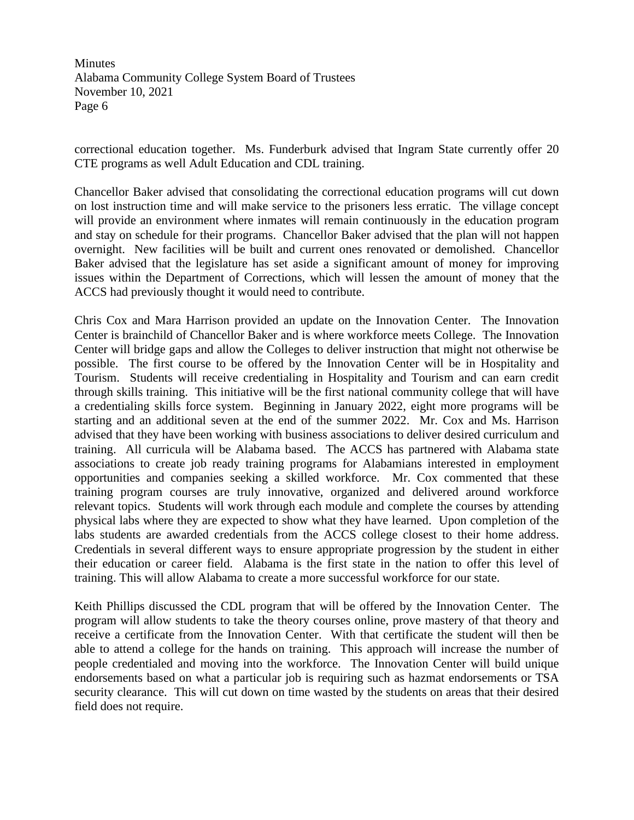correctional education together. Ms. Funderburk advised that Ingram State currently offer 20 CTE programs as well Adult Education and CDL training.

Chancellor Baker advised that consolidating the correctional education programs will cut down on lost instruction time and will make service to the prisoners less erratic. The village concept will provide an environment where inmates will remain continuously in the education program and stay on schedule for their programs. Chancellor Baker advised that the plan will not happen overnight. New facilities will be built and current ones renovated or demolished. Chancellor Baker advised that the legislature has set aside a significant amount of money for improving issues within the Department of Corrections, which will lessen the amount of money that the ACCS had previously thought it would need to contribute.

Chris Cox and Mara Harrison provided an update on the Innovation Center. The Innovation Center is brainchild of Chancellor Baker and is where workforce meets College. The Innovation Center will bridge gaps and allow the Colleges to deliver instruction that might not otherwise be possible. The first course to be offered by the Innovation Center will be in Hospitality and Tourism. Students will receive credentialing in Hospitality and Tourism and can earn credit through skills training. This initiative will be the first national community college that will have a credentialing skills force system. Beginning in January 2022, eight more programs will be starting and an additional seven at the end of the summer 2022. Mr. Cox and Ms. Harrison advised that they have been working with business associations to deliver desired curriculum and training. All curricula will be Alabama based. The ACCS has partnered with Alabama state associations to create job ready training programs for Alabamians interested in employment opportunities and companies seeking a skilled workforce. Mr. Cox commented that these training program courses are truly innovative, organized and delivered around workforce relevant topics. Students will work through each module and complete the courses by attending physical labs where they are expected to show what they have learned. Upon completion of the labs students are awarded credentials from the ACCS college closest to their home address. Credentials in several different ways to ensure appropriate progression by the student in either their education or career field. Alabama is the first state in the nation to offer this level of training. This will allow Alabama to create a more successful workforce for our state.

Keith Phillips discussed the CDL program that will be offered by the Innovation Center. The program will allow students to take the theory courses online, prove mastery of that theory and receive a certificate from the Innovation Center. With that certificate the student will then be able to attend a college for the hands on training. This approach will increase the number of people credentialed and moving into the workforce. The Innovation Center will build unique endorsements based on what a particular job is requiring such as hazmat endorsements or TSA security clearance. This will cut down on time wasted by the students on areas that their desired field does not require.